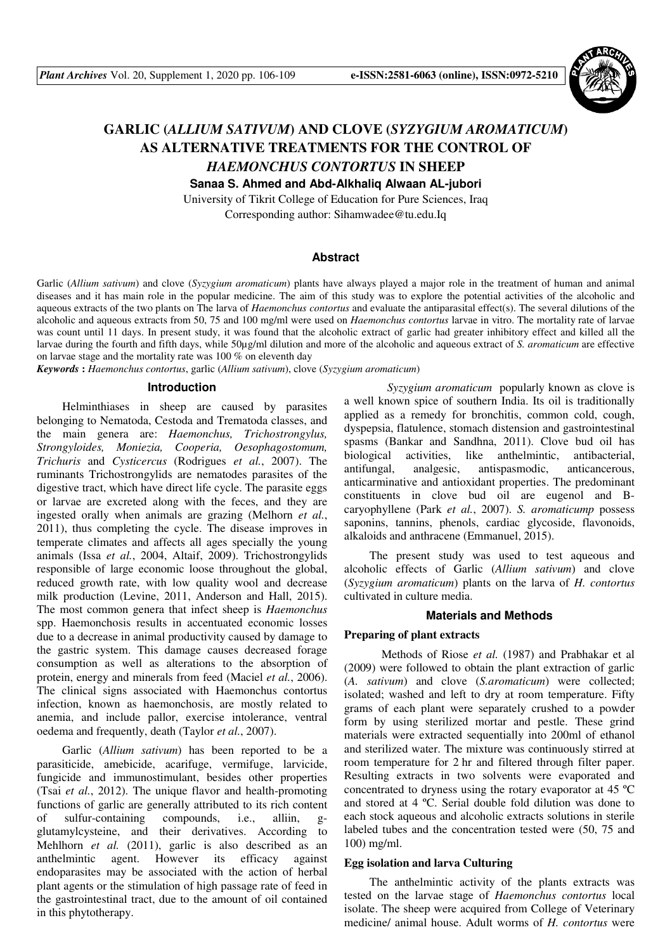

# **GARLIC (***ALLIUM SATIVUM***) AND CLOVE (***SYZYGIUM AROMATICUM***) AS ALTERNATIVE TREATMENTS FOR THE CONTROL OF**  *HAEMONCHUS CONTORTUS* **IN SHEEP**

**Sanaa S. Ahmed and Abd-Alkhaliq Alwaan AL-jubori** 

University of Tikrit College of Education for Pure Sciences, Iraq Corresponding author: Sihamwadee@tu.edu.Iq

## **Abstract**

Garlic (*Allium sativum*) and clove (*Syzygium aromaticum*) plants have always played a major role in the treatment of human and animal diseases and it has main role in the popular medicine. The aim of this study was to explore the potential activities of the alcoholic and aqueous extracts of the two plants on The larva of *Haemonchus contortus* and evaluate the antiparasital effect(s). The several dilutions of the alcoholic and aqueous extracts from 50, 75 and 100 mg/ml were used on *Haemonchus contortus* larvae in vitro. The mortality rate of larvae was count until 11 days. In present study, it was found that the alcoholic extract of garlic had greater inhibitory effect and killed all the larvae during the fourth and fifth days, while 50µg/ml dilution and more of the alcoholic and aqueous extract of *S. aromaticum* are effective on larvae stage and the mortality rate was 100 % on eleventh day

*Keywords* **:** *Haemonchus contortus*, garlic (*Allium sativum*), clove (*Syzygium aromaticum*)

#### **Introduction**

Helminthiases in sheep are caused by parasites belonging to Nematoda, Cestoda and Trematoda classes, and the main genera are: *Haemonchus, Trichostrongylus, Strongyloides, Moniezia, Cooperia, Oesophagostomum, Trichuris* and *Cysticercus* (Rodrigues *et al.*, 2007). The ruminants Trichostrongylids are nematodes parasites of the digestive tract, which have direct life cycle. The parasite eggs or larvae are excreted along with the feces, and they are ingested orally when animals are grazing (Melhorn *et al.*, 2011), thus completing the cycle. The disease improves in temperate climates and affects all ages specially the young animals (Issa *et al.*, 2004, Altaif, 2009). Trichostrongylids responsible of large economic loose throughout the global, reduced growth rate, with low quality wool and decrease milk production (Levine, 2011, Anderson and Hall, 2015). The most common genera that infect sheep is *Haemonchus* spp. Haemonchosis results in accentuated economic losses due to a decrease in animal productivity caused by damage to the gastric system. This damage causes decreased forage consumption as well as alterations to the absorption of protein, energy and minerals from feed (Maciel *et al.*, 2006). The clinical signs associated with Haemonchus contortus infection, known as haemonchosis, are mostly related to anemia, and include pallor, exercise intolerance, ventral oedema and frequently, death (Taylor *et al.*, 2007).

Garlic (*Allium sativum*) has been reported to be a parasiticide, amebicide, acarifuge, vermifuge, larvicide, fungicide and immunostimulant, besides other properties (Tsai *et al.*, 2012). The unique flavor and health-promoting functions of garlic are generally attributed to its rich content of sulfur-containing compounds, i.e., alliin, gglutamylcysteine, and their derivatives. According to Mehlhorn *et al.* (2011), garlic is also described as an anthelmintic agent. However its efficacy against endoparasites may be associated with the action of herbal plant agents or the stimulation of high passage rate of feed in the gastrointestinal tract, due to the amount of oil contained in this phytotherapy.

 *Syzygium aromaticum* popularly known as clove is a well known spice of southern India. Its oil is traditionally applied as a remedy for bronchitis, common cold, cough, dyspepsia, flatulence, stomach distension and gastrointestinal spasms (Bankar and Sandhna, 2011). Clove bud oil has biological activities, like anthelmintic, antibacterial, antifungal, analgesic, antispasmodic, anticancerous, anticarminative and antioxidant properties. The predominant constituents in clove bud oil are eugenol and Bcaryophyllene (Park *et al.*, 2007). *S. aromaticump* possess saponins, tannins, phenols, cardiac glycoside, flavonoids, alkaloids and anthracene (Emmanuel, 2015).

The present study was used to test aqueous and alcoholic effects of Garlic (*Allium sativum*) and clove (*Syzygium aromaticum*) plants on the larva of *H. contortus* cultivated in culture media.

## **Materials and Methods**

# **Preparing of plant extracts**

 Methods of Riose *et al.* (1987) and Prabhakar et al (2009) were followed to obtain the plant extraction of garlic (*A. sativum*) and clove (*S.aromaticum*) were collected; isolated; washed and left to dry at room temperature. Fifty grams of each plant were separately crushed to a powder form by using sterilized mortar and pestle. These grind materials were extracted sequentially into 200ml of ethanol and sterilized water. The mixture was continuously stirred at room temperature for 2 hr and filtered through filter paper. Resulting extracts in two solvents were evaporated and concentrated to dryness using the rotary evaporator at 45 ºC and stored at 4 ºC. Serial double fold dilution was done to each stock aqueous and alcoholic extracts solutions in sterile labeled tubes and the concentration tested were (50, 75 and 100) mg/ml.

## **Egg isolation and larva Culturing**

The anthelmintic activity of the plants extracts was tested on the larvae stage of *Haemonchus contortus* local isolate. The sheep were acquired from College of Veterinary medicine/ animal house. Adult worms of *H. contortus* were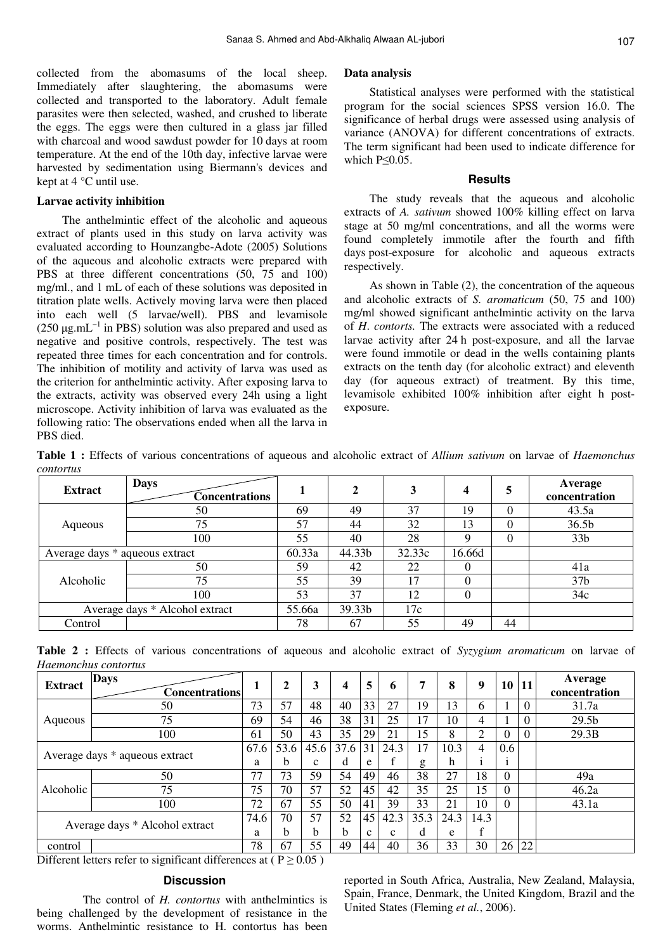collected from the abomasums of the local sheep. Immediately after slaughtering, the abomasums were collected and transported to the laboratory. Adult female parasites were then selected, washed, and crushed to liberate the eggs. The eggs were then cultured in a glass jar filled with charcoal and wood sawdust powder for 10 days at room temperature. At the end of the 10th day, infective larvae were harvested by sedimentation using Biermann's devices and kept at 4 °C until use.

#### **Larvae activity inhibition**

The anthelmintic effect of the alcoholic and aqueous extract of plants used in this study on larva activity was evaluated according to Hounzangbe-Adote (2005) Solutions of the aqueous and alcoholic extracts were prepared with PBS at three different concentrations (50, 75 and 100) mg/ml., and 1 mL of each of these solutions was deposited in titration plate wells. Actively moving larva were then placed into each well (5 larvae/well). PBS and levamisole (250  $\mu$ g.mL<sup>-1</sup> in PBS) solution was also prepared and used as negative and positive controls, respectively. The test was repeated three times for each concentration and for controls. The inhibition of motility and activity of larva was used as the criterion for anthelmintic activity. After exposing larva to the extracts, activity was observed every 24h using a light microscope. Activity inhibition of larva was evaluated as the following ratio: The observations ended when all the larva in PBS died.

#### **Data analysis**

Statistical analyses were performed with the statistical program for the social sciences SPSS version 16.0. The significance of herbal drugs were assessed using analysis of variance (ANOVA) for different concentrations of extracts. The term significant had been used to indicate difference for which P≤0.05.

### **Results**

The study reveals that the aqueous and alcoholic extracts of *A. sativum* showed 100% killing effect on larva stage at 50 mg/ml concentrations, and all the worms were found completely immotile after the fourth and fifth days post-exposure for alcoholic and aqueous extracts respectively.

As shown in Table (2), the concentration of the aqueous and alcoholic extracts of *S. aromaticum* (50, 75 and 100) mg/ml showed significant anthelmintic activity on the larva of *H*. *contorts.* The extracts were associated with a reduced larvae activity after 24 h post-exposure, and all the larvae were found immotile or dead in the wells containing plants extracts on the tenth day (for alcoholic extract) and eleventh day (for aqueous extract) of treatment. By this time, levamisole exhibited 100% inhibition after eight h postexposure.

**Table 1 :** Effects of various concentrations of aqueous and alcoholic extract of *Allium sativum* on larvae of *Haemonchus contortus*

| <b>Extract</b>                 | <b>Days</b><br><b>Concentrations</b> |        | $\mathbf 2$ | 3      | $\overline{\mathbf{4}}$ | 5        | Average<br>concentration |
|--------------------------------|--------------------------------------|--------|-------------|--------|-------------------------|----------|--------------------------|
| Aqueous                        | 50                                   | 69     | 49          | 37     | 19                      | $\Omega$ | 43.5a                    |
|                                | 75                                   | 57     | 44          | 32     | 13                      | 0        | 36.5b                    |
|                                | 100                                  | 55     | 40          | 28     | Q                       | $\Omega$ | 33 <sub>b</sub>          |
| Average days * aqueous extract |                                      | 60.33a | 44.33b      | 32.33c | 16.66d                  |          |                          |
| Alcoholic                      | 50                                   | 59     | 42          | 22     | $\Omega$                |          | 41a                      |
|                                | 75                                   | 55     | 39          | 17     | $\Omega$                |          | 37 <sub>b</sub>          |
|                                | 100                                  | 53     | 37          | 12     | $\theta$                |          | 34c                      |
| Average days * Alcohol extract |                                      | 55.66a | 39.33b      | 17c    |                         |          |                          |
| Control                        |                                      | 78     | 67          | 55     | 49                      | 44       |                          |

**Table 2 :** Effects of various concentrations of aqueous and alcoholic extract of *Syzygium aromaticum* on larvae of *Haemonchus contortus*

| <b>Extract</b>                 | <b>Days</b><br>Concentrationsl |      | 2    |      | 4            | 5           | 6            | 7    | 8    | 9    |     | 10 11    | Average<br>concentration |
|--------------------------------|--------------------------------|------|------|------|--------------|-------------|--------------|------|------|------|-----|----------|--------------------------|
| Aqueous                        | 50                             | 73   | 57   | 48   | 40           | 33          | 27           | 19   | 13   | 6    |     | $\Omega$ | 31.7a                    |
|                                | 75                             | 69   | 54   | 46   | 38           | 31          | 25           | 17   | 10   | 4    |     | $\Omega$ | 29.5 <sub>b</sub>        |
|                                | 100                            | 61   | 50   | 43   | 35           | 29          | 21           | 15   | 8    | 2    | 0   |          | 29.3B                    |
| Average days * aqueous extract |                                | 67.6 | 53.6 | 45.6 | 37.6         | 31          | 24.3         | 17   | 10.3 | 4    | 0.6 |          |                          |
|                                |                                | a    | b    | c    | d            | e           |              | g    | h    |      |     |          |                          |
| Alcoholic                      | 50                             | 77   | 73   | 59   | 54           | 49          | 46           | 38   | 27   | 18   | 0   |          | 49a                      |
|                                | 75                             | 75   | 70   | 57   | 52           | 45          | 42           | 35   | 25   | 15   | 0   |          | 46.2a                    |
|                                | 100                            | 72   | 67   | 55   | 50           | 41          | 39           | 33   | 21   | 10   | 0   |          | 43.1a                    |
| Average days * Alcohol extract |                                | 74.6 | 70   | 57   | 52           | 45          | 42.3         | 35.3 | 24.3 | 14.3 |     |          |                          |
|                                |                                | a    | b    | h.   | <sub>b</sub> | $\mathbf c$ | $\mathbf{c}$ | d    | e    | £    |     |          |                          |
| control                        |                                | 78   | 67   | 55   | 49           | 44          | 40           | 36   | 33   | 30   | 26  | 22       |                          |

Different letters refer to significant differences at ( $P \ge 0.05$ )

## **Discussion**

 The control of *H. contortus* with anthelmintics is being challenged by the development of resistance in the worms. Anthelmintic resistance to H. contortus has been reported in South Africa, Australia, New Zealand, Malaysia, Spain, France, Denmark, the United Kingdom, Brazil and the United States (Fleming *et al.*, 2006).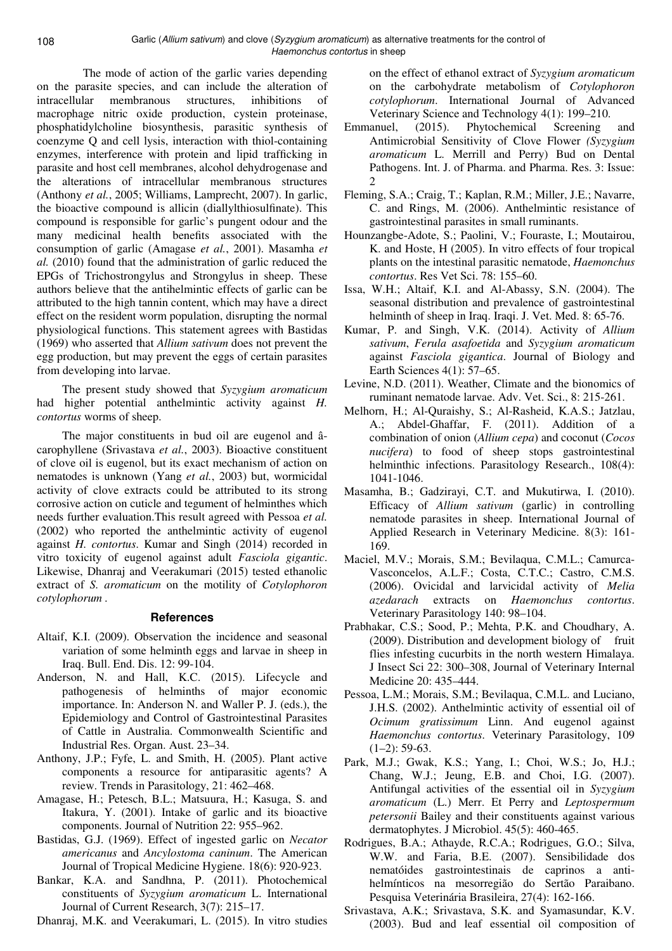The mode of action of the garlic varies depending on the parasite species, and can include the alteration of intracellular membranous structures, inhibitions of macrophage nitric oxide production, cystein proteinase, phosphatidylcholine biosynthesis, parasitic synthesis of coenzyme Q and cell lysis, interaction with thiol-containing enzymes, interference with protein and lipid trafficking in parasite and host cell membranes, alcohol dehydrogenase and the alterations of intracellular membranous structures (Anthony *et al.*, 2005; Williams, Lamprecht, 2007). In garlic, the bioactive compound is allicin (diallylthiosulfinate). This compound is responsible for garlic's pungent odour and the many medicinal health benefits associated with the consumption of garlic (Amagase *et al.*, 2001). Masamha *et al.* (2010) found that the administration of garlic reduced the EPGs of Trichostrongylus and Strongylus in sheep. These authors believe that the antihelmintic effects of garlic can be attributed to the high tannin content, which may have a direct effect on the resident worm population, disrupting the normal physiological functions. This statement agrees with Bastidas (1969) who asserted that *Allium sativum* does not prevent the egg production, but may prevent the eggs of certain parasites from developing into larvae.

The present study showed that *Syzygium aromaticum* had higher potential anthelmintic activity against *H. contortus* worms of sheep.

The major constituents in bud oil are eugenol and âcarophyllene (Srivastava *et al.*, 2003). Bioactive constituent of clove oil is eugenol, but its exact mechanism of action on nematodes is unknown (Yang *et al.*, 2003) but, wormicidal activity of clove extracts could be attributed to its strong corrosive action on cuticle and tegument of helminthes which needs further evaluation.This result agreed with Pessoa *et al.* (2002) who reported the anthelmintic activity of eugenol against *H. contortus*. Kumar and Singh (2014) recorded in vitro toxicity of eugenol against adult *Fasciola gigantic*. Likewise, Dhanraj and Veerakumari (2015) tested ethanolic extract of *S. aromaticum* on the motility of *Cotylophoron cotylophorum .* 

## **References**

- Altaif, K.I. (2009). Observation the incidence and seasonal variation of some helminth eggs and larvae in sheep in Iraq. Bull. End. Dis. 12: 99-104.
- Anderson, N. and Hall, K.C. (2015). Lifecycle and pathogenesis of helminths of major economic importance. In: Anderson N. and Waller P. J. (eds.), the Epidemiology and Control of Gastrointestinal Parasites of Cattle in Australia. Commonwealth Scientific and Industrial Res. Organ. Aust. 23–34.
- Anthony, J.P.; Fyfe, L. and Smith, H. (2005). Plant active components a resource for antiparasitic agents? A review. Trends in Parasitology, 21: 462–468.
- Amagase, H.; Petesch, B.L.; Matsuura, H.; Kasuga, S. and Itakura, Y. (2001). Intake of garlic and its bioactive components. Journal of Nutrition 22: 955–962.
- Bastidas, G.J. (1969). Effect of ingested garlic on *Necator americanus* and *Ancylostoma caninum*. The American Journal of Tropical Medicine Hygiene. 18(6): 920-923.
- Bankar, K.A. and Sandhna, P. (2011). Photochemical constituents of *Syzygium aromaticum* L. International Journal of Current Research, 3(7): 215–17.

Dhanraj, M.K. and Veerakumari, L. (2015). In vitro studies

on the effect of ethanol extract of *Syzygium aromaticum* on the carbohydrate metabolism of *Cotylophoron cotylophorum*. International Journal of Advanced Veterinary Science and Technology 4(1): 199–210.

- Emmanuel, (2015). Phytochemical Screening and Antimicrobial Sensitivity of Clove Flower *(Syzygium aromaticum* L. Merrill and Perry) Bud on Dental Pathogens. Int. J. of Pharma. and Pharma. Res. 3: Issue: 2
- Fleming, S.A.; Craig, T.; Kaplan, R.M.; Miller, J.E.; Navarre, C. and Rings, M. (2006). Anthelmintic resistance of gastrointestinal parasites in small ruminants.
- Hounzangbe-Adote, S.; Paolini, V.; Fouraste, I.; Moutairou, K. and Hoste, H (2005). In vitro effects of four tropical plants on the intestinal parasitic nematode, *Haemonchus contortus*. Res Vet Sci. 78: 155–60.
- Issa, W.H.; Altaif, K.I. and Al-Abassy, S.N. (2004). The seasonal distribution and prevalence of gastrointestinal helminth of sheep in Iraq. Iraqi. J. Vet. Med. 8: 65-76.
- Kumar, P. and Singh, V.K. (2014). Activity of *Allium sativum*, *Ferula asafoetida* and *Syzygium aromaticum* against *Fasciola gigantica*. Journal of Biology and Earth Sciences 4(1): 57–65.
- Levine, N.D. (2011). Weather, Climate and the bionomics of ruminant nematode larvae. Adv. Vet. Sci., 8: 215-261.
- Melhorn, H.; Al-Quraishy, S.; Al-Rasheid, K.A.S.; Jatzlau, A.; Abdel-Ghaffar, F. (2011). Addition of a combination of onion (*Allium cepa*) and coconut (*Cocos nucifera*) to food of sheep stops gastrointestinal helminthic infections. Parasitology Research., 108(4): 1041-1046.
- Masamha, B.; Gadzirayi, C.T. and Mukutirwa, I. (2010). Efficacy of *Allium sativum* (garlic) in controlling nematode parasites in sheep. International Journal of Applied Research in Veterinary Medicine. 8(3): 161- 169.
- Maciel, M.V.; Morais, S.M.; Bevilaqua, C.M.L.; Camurca-Vasconcelos, A.L.F.; Costa, C.T.C.; Castro, C.M.S. (2006). Ovicidal and larvicidal activity of *Melia azedarach* extracts on *Haemonchus contortus*. Veterinary Parasitology 140: 98–104.
- Prabhakar, C.S.; Sood, P.; Mehta, P.K. and Choudhary, A. (2009). Distribution and development biology of fruit flies infesting cucurbits in the north western Himalaya. J Insect Sci 22: 300–308, Journal of Veterinary Internal Medicine 20: 435–444.
- Pessoa, L.M.; Morais, S.M.; Bevilaqua, C.M.L. and Luciano, J.H.S. (2002). Anthelmintic activity of essential oil of *Ocimum gratissimum* Linn. And eugenol against *Haemonchus contortus*. Veterinary Parasitology, 109  $(1-2)$ : 59-63.
- Park, M.J.; Gwak, K.S.; Yang, I.; Choi, W.S.; Jo, H.J.; Chang, W.J.; Jeung, E.B. and Choi, I.G. (2007). Antifungal activities of the essential oil in *Syzygium aromaticum* (L.) Merr. Et Perry and *Leptospermum petersonii* Bailey and their constituents against various dermatophytes. J Microbiol. 45(5): 460-465.
- Rodrigues, B.A.; Athayde, R.C.A.; Rodrigues, G.O.; Silva, W.W. and Faria, B.E. (2007). Sensibilidade dos nematóides gastrointestinais de caprinos a antihelmínticos na mesorregião do Sertão Paraibano. Pesquisa Veterinária Brasileira, 27(4): 162-166.
- Srivastava, A.K.; Srivastava, S.K. and Syamasundar, K.V. (2003). Bud and leaf essential oil composition of